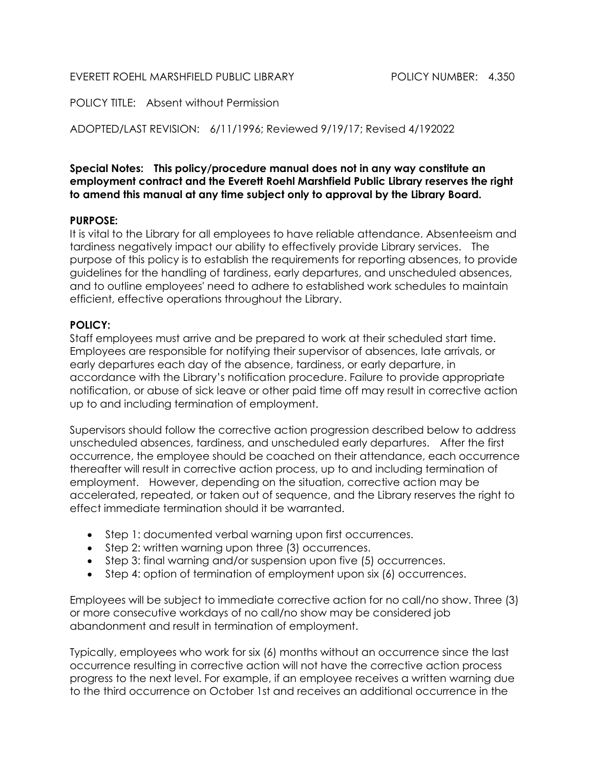# EVERETT ROEHL MARSHFIELD PUBLIC LIBRARY POLICY NUMBER: 4.350

POLICY TITLE: Absent without Permission

ADOPTED/LAST REVISION: 6/11/1996; Reviewed 9/19/17; Revised 4/192022

## Special Notes: This policy/procedure manual does not in any way constitute an employment contract and the Everett Roehl Marshfield Public Library reserves the right to amend this manual at any time subject only to approval by the Library Board.

## PURPOSE:

It is vital to the Library for all employees to have reliable attendance. Absenteeism and tardiness negatively impact our ability to effectively provide Library services. The purpose of this policy is to establish the requirements for reporting absences, to provide guidelines for the handling of tardiness, early departures, and unscheduled absences, and to outline employees' need to adhere to established work schedules to maintain efficient, effective operations throughout the Library.

## POLICY:

Staff employees must arrive and be prepared to work at their scheduled start time. Employees are responsible for notifying their supervisor of absences, late arrivals, or early departures each day of the absence, tardiness, or early departure, in accordance with the Library's notification procedure. Failure to provide appropriate notification, or abuse of sick leave or other paid time off may result in corrective action up to and including termination of employment.

Supervisors should follow the corrective action progression described below to address unscheduled absences, tardiness, and unscheduled early departures. After the first occurrence, the employee should be coached on their attendance, each occurrence thereafter will result in corrective action process, up to and including termination of employment. However, depending on the situation, corrective action may be accelerated, repeated, or taken out of sequence, and the Library reserves the right to effect immediate termination should it be warranted.

- Step 1: documented verbal warning upon first occurrences.
- Step 2: written warning upon three (3) occurrences.
- Step 3: final warning and/or suspension upon five (5) occurrences.
- Step 4: option of termination of employment upon six (6) occurrences.

Employees will be subject to immediate corrective action for no call/no show. Three (3) or more consecutive workdays of no call/no show may be considered job abandonment and result in termination of employment.

Typically, employees who work for six (6) months without an occurrence since the last occurrence resulting in corrective action will not have the corrective action process progress to the next level. For example, if an employee receives a written warning due to the third occurrence on October 1st and receives an additional occurrence in the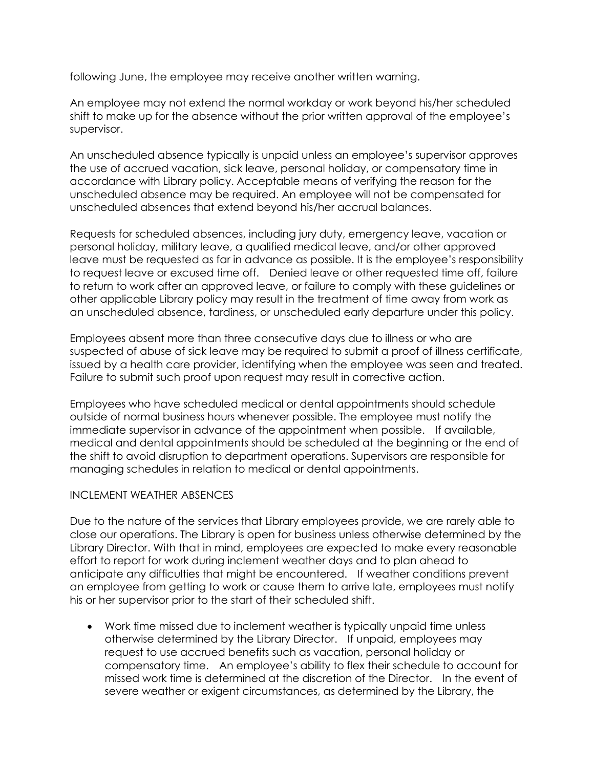following June, the employee may receive another written warning.

An employee may not extend the normal workday or work beyond his/her scheduled shift to make up for the absence without the prior written approval of the employee's supervisor.

An unscheduled absence typically is unpaid unless an employee's supervisor approves the use of accrued vacation, sick leave, personal holiday, or compensatory time in accordance with Library policy. Acceptable means of verifying the reason for the unscheduled absence may be required. An employee will not be compensated for unscheduled absences that extend beyond his/her accrual balances.

Requests for scheduled absences, including jury duty, emergency leave, vacation or personal holiday, military leave, a qualified medical leave, and/or other approved leave must be requested as far in advance as possible. It is the employee's responsibility to request leave or excused time off. Denied leave or other requested time off, failure to return to work after an approved leave, or failure to comply with these guidelines or other applicable Library policy may result in the treatment of time away from work as an unscheduled absence, tardiness, or unscheduled early departure under this policy.

Employees absent more than three consecutive days due to illness or who are suspected of abuse of sick leave may be required to submit a proof of illness certificate, issued by a health care provider, identifying when the employee was seen and treated. Failure to submit such proof upon request may result in corrective action.

Employees who have scheduled medical or dental appointments should schedule outside of normal business hours whenever possible. The employee must notify the immediate supervisor in advance of the appointment when possible. If available, medical and dental appointments should be scheduled at the beginning or the end of the shift to avoid disruption to department operations. Supervisors are responsible for managing schedules in relation to medical or dental appointments.

## INCLEMENT WEATHER ABSENCES

Due to the nature of the services that Library employees provide, we are rarely able to close our operations. The Library is open for business unless otherwise determined by the Library Director. With that in mind, employees are expected to make every reasonable effort to report for work during inclement weather days and to plan ahead to anticipate any difficulties that might be encountered. If weather conditions prevent an employee from getting to work or cause them to arrive late, employees must notify his or her supervisor prior to the start of their scheduled shift.

 Work time missed due to inclement weather is typically unpaid time unless otherwise determined by the Library Director. If unpaid, employees may request to use accrued benefits such as vacation, personal holiday or compensatory time. An employee's ability to flex their schedule to account for missed work time is determined at the discretion of the Director. In the event of severe weather or exigent circumstances, as determined by the Library, the